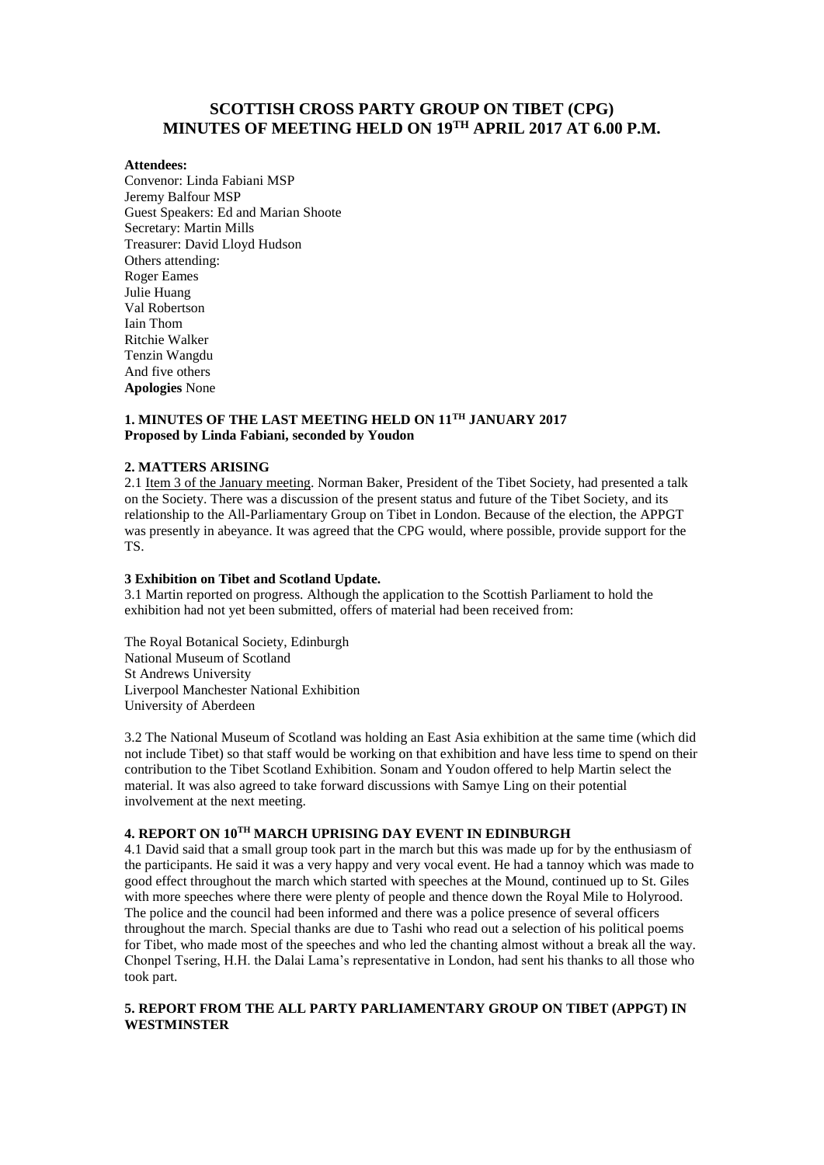# **SCOTTISH CROSS PARTY GROUP ON TIBET (CPG) MINUTES OF MEETING HELD ON 19TH APRIL 2017 AT 6.00 P.M.**

## **Attendees:**

Convenor: Linda Fabiani MSP Jeremy Balfour MSP Guest Speakers: Ed and Marian Shoote Secretary: Martin Mills Treasurer: David Lloyd Hudson Others attending: Roger Eames Julie Huang Val Robertson Iain Thom Ritchie Walker Tenzin Wangdu And five others **Apologies** None

# **1. MINUTES OF THE LAST MEETING HELD ON 11TH JANUARY 2017 Proposed by Linda Fabiani, seconded by Youdon**

## **2. MATTERS ARISING**

2.1 Item 3 of the January meeting. Norman Baker, President of the Tibet Society, had presented a talk on the Society. There was a discussion of the present status and future of the Tibet Society, and its relationship to the All-Parliamentary Group on Tibet in London. Because of the election, the APPGT was presently in abeyance. It was agreed that the CPG would, where possible, provide support for the TS.

#### **3 Exhibition on Tibet and Scotland Update.**

3.1 Martin reported on progress. Although the application to the Scottish Parliament to hold the exhibition had not yet been submitted, offers of material had been received from:

The Royal Botanical Society, Edinburgh National Museum of Scotland St Andrews University Liverpool Manchester National Exhibition University of Aberdeen

3.2 The National Museum of Scotland was holding an East Asia exhibition at the same time (which did not include Tibet) so that staff would be working on that exhibition and have less time to spend on their contribution to the Tibet Scotland Exhibition. Sonam and Youdon offered to help Martin select the material. It was also agreed to take forward discussions with Samye Ling on their potential involvement at the next meeting.

# **4. REPORT ON 10TH MARCH UPRISING DAY EVENT IN EDINBURGH**

4.1 David said that a small group took part in the march but this was made up for by the enthusiasm of the participants. He said it was a very happy and very vocal event. He had a tannoy which was made to good effect throughout the march which started with speeches at the Mound, continued up to St. Giles with more speeches where there were plenty of people and thence down the Royal Mile to Holyrood. The police and the council had been informed and there was a police presence of several officers throughout the march. Special thanks are due to Tashi who read out a selection of his political poems for Tibet, who made most of the speeches and who led the chanting almost without a break all the way. Chonpel Tsering, H.H. the Dalai Lama's representative in London, had sent his thanks to all those who took part.

## **5. REPORT FROM THE ALL PARTY PARLIAMENTARY GROUP ON TIBET (APPGT) IN WESTMINSTER**